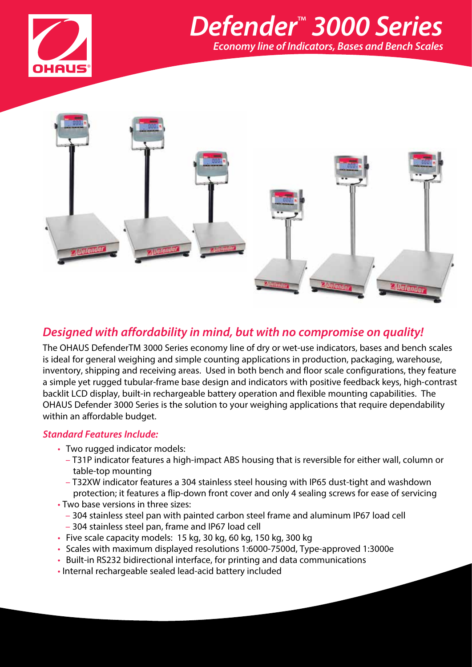

# *Defender*™  *3000 Series Economy line of Indicators, Bases and Bench Scales*



### *Designed with affordability in mind, but with no compromise on quality!*

The OHAUS DefenderTM 3000 Series economy line of dry or wet-use indicators, bases and bench scales is ideal for general weighing and simple counting applications in production, packaging, warehouse, inventory, shipping and receiving areas. Used in both bench and floor scale configurations, they feature a simple yet rugged tubular-frame base design and indicators with positive feedback keys, high-contrast backlit LCD display, built-in rechargeable battery operation and flexible mounting capabilities. The OHAUS Defender 3000 Series is the solution to your weighing applications that require dependability within an affordable budget.

#### *Standard Features Include:*

- Two rugged indicator models:
	- T31P indicator features a high-impact ABS housing that is reversible for either wall, column or table-top mounting
	- T32XW indicator features a 304 stainless steel housing with IP65 dust-tight and washdown protection; it features a flip-down front cover and only 4 sealing screws for ease of servicing
- Two base versions in three sizes:
	- 304 stainless steel pan with painted carbon steel frame and aluminum IP67 load cell
	- 304 stainless steel pan, frame and IP67 load cell
- Five scale capacity models: 15 kg, 30 kg, 60 kg, 150 kg, 300 kg
- Scales with maximum displayed resolutions 1:6000-7500d, Type-approved 1:3000e
- Built-in RS232 bidirectional interface, for printing and data communications
- Internal rechargeable sealed lead-acid battery included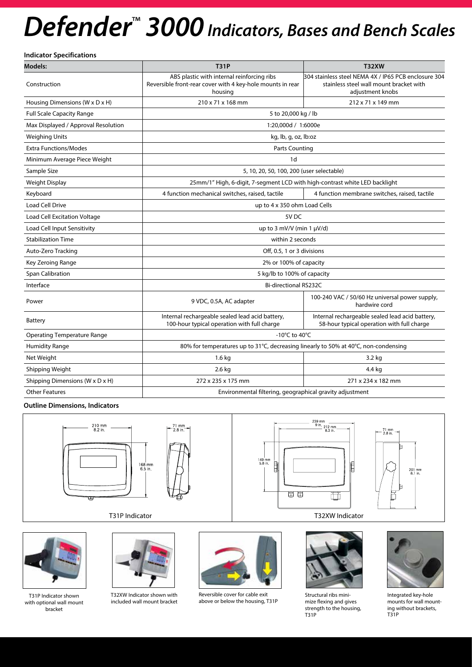# **Defender<sup>™</sup> 3000** Indicators, Bases and Bench Scales

**Indicator Specifications**

| <b>Models:</b>                      | <b>T31P</b>                                                                                                         | <b>T32XW</b>                                                                                                        |  |  |
|-------------------------------------|---------------------------------------------------------------------------------------------------------------------|---------------------------------------------------------------------------------------------------------------------|--|--|
| Construction                        | ABS plastic with internal reinforcing ribs<br>Reversible front-rear cover with 4 key-hole mounts in rear<br>housing | 304 stainless steel NEMA 4X / IP65 PCB enclosure 304<br>stainless steel wall mount bracket with<br>adjustment knobs |  |  |
| Housing Dimensions (W x D x H)      | 210 x 71 x 168 mm                                                                                                   | 212 x 71 x 149 mm                                                                                                   |  |  |
| <b>Full Scale Capacity Range</b>    | 5 to 20,000 kg / lb                                                                                                 |                                                                                                                     |  |  |
| Max Displayed / Approval Resolution | 1:20,000d / 1:6000e                                                                                                 |                                                                                                                     |  |  |
| <b>Weighing Units</b>               | kg, lb, g, oz, lb:oz                                                                                                |                                                                                                                     |  |  |
| <b>Extra Functions/Modes</b>        | <b>Parts Counting</b>                                                                                               |                                                                                                                     |  |  |
| Minimum Average Piece Weight        | 1d                                                                                                                  |                                                                                                                     |  |  |
| Sample Size                         | 5, 10, 20, 50, 100, 200 (user selectable)                                                                           |                                                                                                                     |  |  |
| Weight Display                      | 25mm/1" High, 6-digit, 7-segment LCD with high-contrast white LED backlight                                         |                                                                                                                     |  |  |
| Keyboard                            | 4 function mechanical switches, raised, tactile                                                                     | 4 function membrane switches, raised, tactile                                                                       |  |  |
| <b>Load Cell Drive</b>              | up to 4 x 350 ohm Load Cells                                                                                        |                                                                                                                     |  |  |
| Load Cell Excitation Voltage        | 5V <sub>DC</sub>                                                                                                    |                                                                                                                     |  |  |
| Load Cell Input Sensitivity         | up to 3 mV/V (min 1 $\mu$ V/d)                                                                                      |                                                                                                                     |  |  |
| <b>Stabilization Time</b>           | within 2 seconds                                                                                                    |                                                                                                                     |  |  |
| Auto-Zero Tracking                  | Off, 0.5, 1 or 3 divisions                                                                                          |                                                                                                                     |  |  |
| Key Zeroing Range                   | 2% or 100% of capacity                                                                                              |                                                                                                                     |  |  |
| Span Calibration                    | 5 kg/lb to 100% of capacity                                                                                         |                                                                                                                     |  |  |
| Interface                           | <b>Bi-directional RS232C</b>                                                                                        |                                                                                                                     |  |  |
| Power                               | 100-240 VAC / 50/60 Hz universal power supply,<br>9 VDC, 0.5A, AC adapter                                           |                                                                                                                     |  |  |
| <b>Battery</b>                      | Internal rechargeable sealed lead acid battery,<br>100-hour typical operation with full charge                      | Internal rechargeable sealed lead acid battery,<br>58-hour typical operation with full charge                       |  |  |
| <b>Operating Temperature Range</b>  | -10 $^{\circ}$ C to 40 $^{\circ}$ C                                                                                 |                                                                                                                     |  |  |
| <b>Humidity Range</b>               | 80% for temperatures up to 31°C, decreasing linearly to 50% at 40°C, non-condensing                                 |                                                                                                                     |  |  |
| Net Weight                          | $1.6$ kg                                                                                                            | 3.2 kg                                                                                                              |  |  |
| Shipping Weight                     | 2.6 kg                                                                                                              | 4.4 kg                                                                                                              |  |  |
| Shipping Dimensions (W x D x H)     | 272 x 235 x 175 mm<br>271 x 234 x 182 mm                                                                            |                                                                                                                     |  |  |
| <b>Other Features</b>               | Environmental filtering, geographical gravity adjustment                                                            |                                                                                                                     |  |  |

#### **Outline Dimensions, Indicators**





T31P Indicator shown with optional wall mount bracket



T32XW Indicator shown with included wall mount bracket



Reversible cover for cable exit above or below the housing, T31P



Structural ribs minimize flexing and gives strength to the housing, T31P



Integrated key-hole mounts for wall mounting without brackets, T31P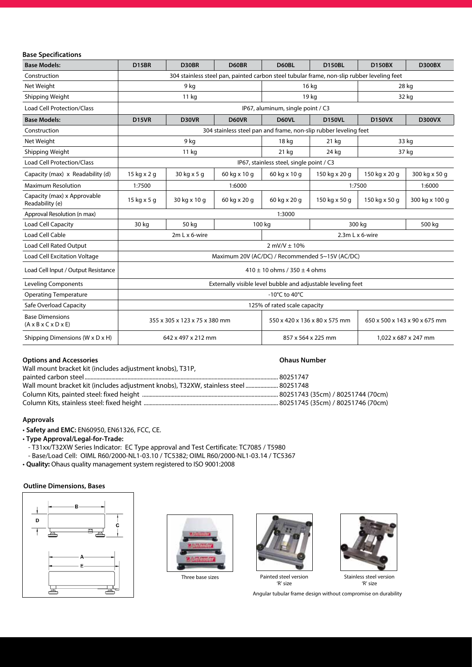#### **Base Specifications**

| <b>Base Models:</b>                                                 | D15BR                                                                                      | D30BR                                                            | D60BR        | D60BL                         | <b>D150BL</b>           | <b>D150BX</b>                 | <b>D300BX</b>  |  |
|---------------------------------------------------------------------|--------------------------------------------------------------------------------------------|------------------------------------------------------------------|--------------|-------------------------------|-------------------------|-------------------------------|----------------|--|
| Construction                                                        | 304 stainless steel pan, painted carbon steel tubular frame, non-slip rubber leveling feet |                                                                  |              |                               |                         |                               |                |  |
| Net Weight                                                          | 9 kg                                                                                       |                                                                  |              | 16 kg                         |                         | 28 kg                         |                |  |
| Shipping Weight                                                     |                                                                                            | 11 <sub>kg</sub>                                                 |              |                               | 19 kg                   |                               | 32 kg          |  |
| <b>Load Cell Protection/Class</b>                                   | IP67, aluminum, single point / C3                                                          |                                                                  |              |                               |                         |                               |                |  |
| <b>Base Models:</b>                                                 | D <sub>15</sub> VR                                                                         | D30VR                                                            | D60VR        | D60VL                         | <b>D150VL</b>           | <b>D150VX</b>                 | <b>D300VX</b>  |  |
| Construction                                                        |                                                                                            | 304 stainless steel pan and frame, non-slip rubber leveling feet |              |                               |                         |                               |                |  |
| Net Weight                                                          | 9 kg                                                                                       |                                                                  |              | 18 kg                         | $21$ kg                 | 33 kg                         |                |  |
| Shipping Weight                                                     | 11 kg                                                                                      |                                                                  |              | $21$ kg                       | 24 kg                   |                               | 37 kg          |  |
| <b>Load Cell Protection/Class</b>                                   | IP67, stainless steel, single point / C3                                                   |                                                                  |              |                               |                         |                               |                |  |
| Capacity (max) x Readability (d)                                    | 15 kg x 2 g                                                                                | 30 kg x 5 g                                                      | 60 kg x 10 g | 60 kg x 10 g                  | 150 kg x 20 g           | 150 kg x 20 g                 | 300 kg x 50 g  |  |
| <b>Maximum Resolution</b>                                           | 1:7500                                                                                     | 1:6000                                                           |              |                               | 1:7500                  |                               | 1:6000         |  |
| Capacity (max) x Approvable<br>Readability (e)                      | 15 kg x 5 g                                                                                | 30 kg x 10 g                                                     | 60 kg x 20 g | 60 kg x 20 g                  | 150 kg x 50 g           | 150 kg x 50 g                 | 300 kg x 100 g |  |
| Approval Resolution (n max)                                         | 1:3000                                                                                     |                                                                  |              |                               |                         |                               |                |  |
| Load Cell Capacity                                                  | 30 kg                                                                                      | 50 kg                                                            | 100 kg       |                               | 300 kg                  |                               | 500 kg         |  |
| Load Cell Cable                                                     | 2m L x 6-wire                                                                              |                                                                  |              |                               | $2.3m L \times 6$ -wire |                               |                |  |
| Load Cell Rated Output                                              | $2$ mV/V $\pm$ 10%                                                                         |                                                                  |              |                               |                         |                               |                |  |
| Load Cell Excitation Voltage                                        | Maximum 20V (AC/DC) / Recommended 5~15V (AC/DC)                                            |                                                                  |              |                               |                         |                               |                |  |
| Load Cell Input / Output Resistance                                 | $410 \pm 10$ ohms / 350 $\pm$ 4 ohms                                                       |                                                                  |              |                               |                         |                               |                |  |
| <b>Leveling Components</b>                                          | Externally visible level bubble and adjustable leveling feet                               |                                                                  |              |                               |                         |                               |                |  |
| <b>Operating Temperature</b>                                        | -10 $^{\circ}$ C to 40 $^{\circ}$ C                                                        |                                                                  |              |                               |                         |                               |                |  |
| Safe Overload Capacity                                              | 125% of rated scale capacity                                                               |                                                                  |              |                               |                         |                               |                |  |
| <b>Base Dimensions</b><br>$(A \times B \times C \times D \times E)$ | 355 x 305 x 123 x 75 x 380 mm                                                              |                                                                  |              | 550 x 420 x 136 x 80 x 575 mm |                         | 650 x 500 x 143 x 90 x 675 mm |                |  |
| Shipping Dimensions (W x D x H)                                     | 642 x 497 x 212 mm                                                                         |                                                                  |              | 857 x 564 x 225 mm            |                         | 1,022 x 687 x 247 mm          |                |  |

#### **Options and Accessories Ohaus Number**

| Wall mount bracket kit (includes adjustment knobs), T31P,                            |  |
|--------------------------------------------------------------------------------------|--|
|                                                                                      |  |
| Wall mount bracket kit (includes adjustment knobs), T32XW, stainless steel  80251748 |  |
|                                                                                      |  |
|                                                                                      |  |

#### **Approvals**

• **Safety and EMC:** EN60950, EN61326, FCC, CE.

- **Type Approval/Legal-for-Trade:**
- T31xx/T32XW Series Indicator: EC Type approval and Test Certificate: TC7085 / T5980
- Base/Load Cell: OIML R60/2000-NL1-03.10 / TC5382; OIML R60/2000-NL1-03.14 / TC5367
- **Quality:** Ohaus quality management system registered to ISO 9001:2008

#### **Outline Dimensions, Bases**





Three base sizes





Painted steel version 'R' size

Stainless steel version 'R' size

Angular tubular frame design without compromise on durability